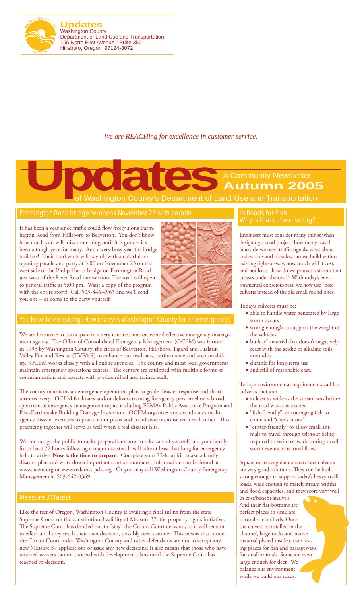

**Updates** Washington County Department of Land Use and Transportation 155 North First Avenue - Suite 350 Hillsboro, Oregon 97124-3072

### *We are REACHing for excellence in customer service.*

A Community Newsletter **Autumn 2005**

**Washington County's Department of Land Use and Transportation Updates Control** County's Department of La

### Farmington Road bridge re-opens November 23 with parade

It has been a year since traffic could flow freely along Farmington Road from Hillsboro to Beaverton. You don't know how much you will miss something until it is gone – it's been a tough year for many. And a very busy year for bridge builders! Their hard work will pay off with a colorful reopening parade and party at 3:00 on November 23 on the west side of the Philip Harris bridge on Farmington Road just west of the River Road intersection. The road will open to general traffic at 5:00 pm. Want a copy of the program with the entire story? Call 503-846-4963 and we'll send you one – or come to the party yourself!



### You have been asking…How ready is Washington County for an emergency?

We are fortunate to participate in a very unique, innovative and effective emergency management agency. The Office of Consolidated Emergency Management (OCEM) was formed in 1995 by Washington County, the cities of Beaverton, Hillsboro, Tigard and Tualatin Valley Fire and Rescue (TVF&R) to enhance our readiness, performance and accountability. OCEM works closely with all public agencies. The county and most local governments maintain emergency operations centers. The centers are equipped with multiple forms of communication and operate with pre-identified and trained staff.

The county maintains an emergency operations plan to guide disaster response and shortterm recovery. OCEM facilitates and/or delivers training for agency personnel on a broad spectrum of emergency management topics including FEMA's Public Assistance Program and Post-Earthquake Building Damage Inspection. OCEM organizes and coordinates multiagency disaster exercises to practice our plans and coordinate response with each other. This practicing together will serve us well when a real disaster hits.

We encourage the public to make preparations now to take care of yourself and your family for at least 72 hours following a major disaster. It will take at least that long for emergency help to arrive. **Now is the time to prepare**. Complete your 72-hour kit, make a family disaster plan and write down important contact numbers. Information can be found at www.ocem.org or www.redcross-pdx.org. Or you may call Washington County Emergency Management at 503-642-0369.

### Measure 37 latest

Like the rest of Oregon, Washington County is awaiting a final ruling from the state Supreme Court on the constitutional validity of Measure 37, the property rights initiative. The Supreme Court has decided not to "stay" the Circuit Court decision, so it will remain in effect until they reach their own decision, possibly next summer. This means that, under the Circuit Court order, Washington County and other defendants are not to accept any new Measure 37 applications or issue any new decisions. It also means that those who have received waivers cannot proceed with development plans until the Supreme Court has reached its decision.

### In Roads for Fish… Why is that culvert so big?

Engineers must consider many things when designing a road project: how many travel lanes, do we need traffic signals, what about pedestrians and bicycles, can we build within existing right-of-way, how much will it cost, and not least - how do we protect a stream that crosses under the road? With today's environmental consciousness, we now use "box" culverts instead of the old small round ones.

#### Today's culverts must be:

- able to handle water generated by large storm events
- • strong enough to support the weight of the vehicles
- • built of material that doesn't negatively react with the acidic or alkaline soils around it
- • durable for long-term use
- and still of reasonable cost.

Today's environmental requirements call for culverts that are:

- at least as wide as the stream was before the road was constructed
- • "fish-friendly", encouraging fish to come and "check it out"
- • "critter-friendly" to allow small animals to travel through without being required to swim or wade during small storm events or normal flows.

Square or rectangular concrete box culverts are very good solutions. They can be built strong enough to support today's heavy traffic loads, wide enough to match stream widths and flood capacities, and they score very well in cost/benefit analysis. And their flat-bottoms are perfect places to simulate natural stream beds. Once the culvert is installed in the channel, large rocks and native material placed inside create resting places for fish and passageways for small animals. Some are even large enough for deer. We balance our environment while we build our roads.